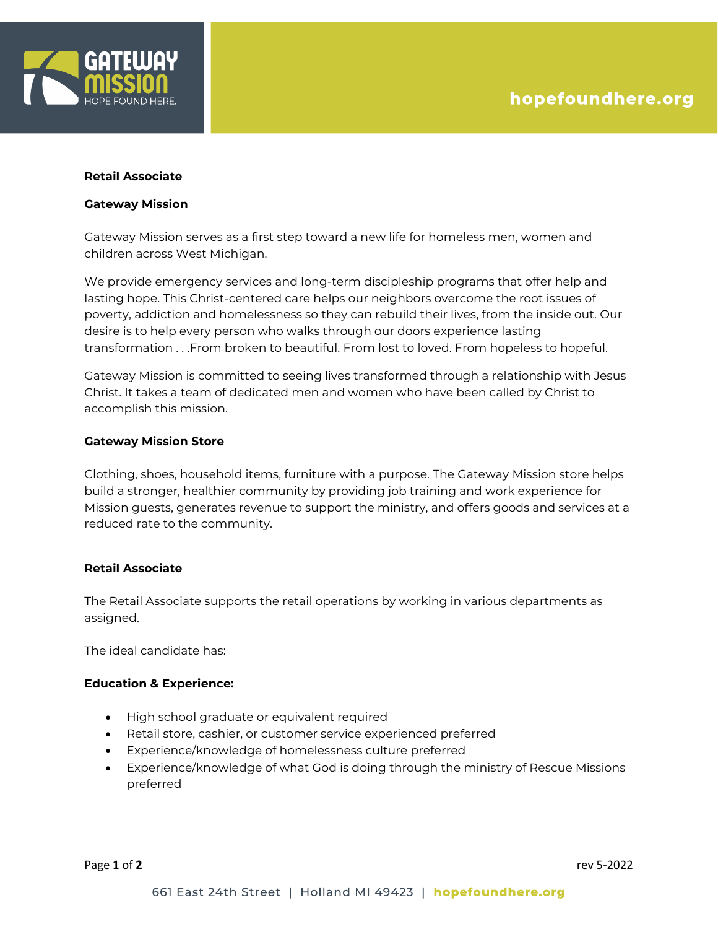

### **Retail Associate**

#### **Gateway Mission**

Gateway Mission serves as a first step toward a new life for homeless men, women and children across West Michigan.

We provide emergency services and long-term discipleship programs that offer help and lasting hope. This Christ-centered care helps our neighbors overcome the root issues of poverty, addiction and homelessness so they can rebuild their lives, from the inside out. Our desire is to help every person who walks through our doors experience lasting transformation . . .From broken to beautiful. From lost to loved. From hopeless to hopeful.

Gateway Mission is committed to seeing lives transformed through a relationship with Jesus Christ. It takes a team of dedicated men and women who have been called by Christ to accomplish this mission.

### **Gateway Mission Store**

Clothing, shoes, household items, furniture with a purpose. The Gateway Mission store helps build a stronger, healthier community by providing job training and work experience for Mission guests, generates revenue to support the ministry, and offers goods and services at a reduced rate to the community.

### **Retail Associate**

The Retail Associate supports the retail operations by working in various departments as assigned.

The ideal candidate has:

### **Education & Experience:**

- High school graduate or equivalent required
- Retail store, cashier, or customer service experienced preferred
- Experience/knowledge of homelessness culture preferred
- Experience/knowledge of what God is doing through the ministry of Rescue Missions preferred

Page **1** of **2** rev 5-2022